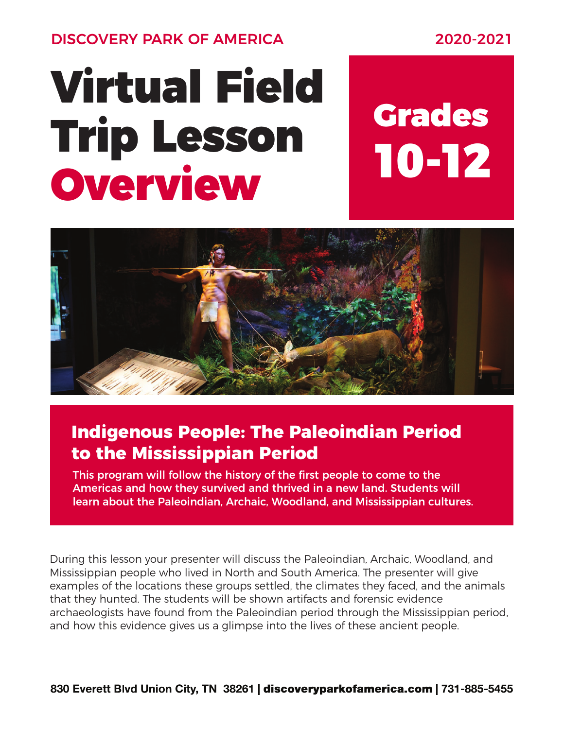DISCOVERY PARK OF AMERICA 2020-2021

## Virtual Field Trip Lesson Overview

# 10-12 Grades



### **Indigenous People: The Paleoindian Period to the Mississippian Period**

This program will follow the history of the first people to come to the Americas and how they survived and thrived in a new land. Students will learn about the Paleoindian, Archaic, Woodland, and Mississippian cultures.

During this lesson your presenter will discuss the Paleoindian, Archaic, Woodland, and Mississippian people who lived in North and South America. The presenter will give examples of the locations these groups settled, the climates they faced, and the animals that they hunted. The students will be shown artifacts and forensic evidence archaeologists have found from the Paleoindian period through the Mississippian period, and how this evidence gives us a glimpse into the lives of these ancient people.